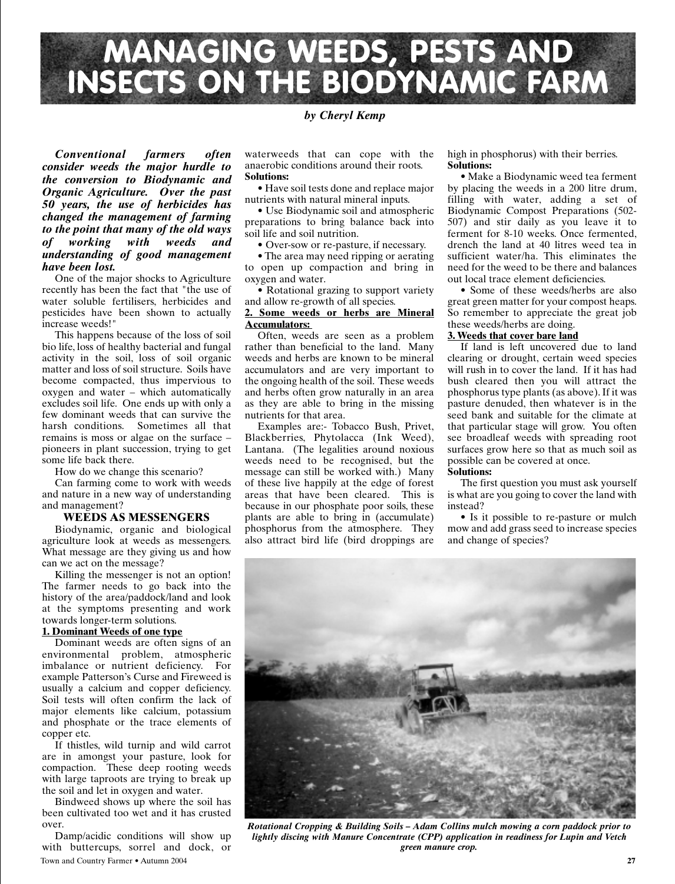

# *by Cheryl Kemp*

*Conventional farmers often consider weeds the major hurdle to the conversion to Biodynamic and Organic Agriculture. Over the past 50 years, the use of herbicides has changed the management of farming to the point that many of the old ways of working with weeds and understanding of good management have been lost.*

One of the major shocks to Agriculture recently has been the fact that "the use of water soluble fertilisers, herbicides and pesticides have been shown to actually increase weeds!"

This happens because of the loss of soil bio life, loss of healthy bacterial and fungal activity in the soil, loss of soil organic matter and loss of soil structure. Soils have become compacted, thus impervious to oxygen and water – which automatically excludes soil life. One ends up with only a few dominant weeds that can survive the harsh conditions. Sometimes all that remains is moss or algae on the surface – pioneers in plant succession, trying to get some life back there.

How do we change this scenario?

Can farming come to work with weeds and nature in a new way of understanding and management?

### **WEEDS AS MESSENGERS**

Biodynamic, organic and biological agriculture look at weeds as messengers. What message are they giving us and how can we act on the message?

Killing the messenger is not an option! The farmer needs to go back into the history of the area/paddock/land and look at the symptoms presenting and work towards longer-term solutions.

# **1. Dominant Weeds of one type**

Dominant weeds are often signs of an environmental problem, atmospheric imbalance or nutrient deficiency. For example Patterson's Curse and Fireweed is usually a calcium and copper deficiency. Soil tests will often confirm the lack of major elements like calcium, potassium and phosphate or the trace elements of copper etc.

If thistles, wild turnip and wild carrot are in amongst your pasture, look for compaction. These deep rooting weeds with large taproots are trying to break up the soil and let in oxygen and water.

Bindweed shows up where the soil has been cultivated too wet and it has crusted over.

Town and Country Farmer • Autumn 2004 **27** Damp/acidic conditions will show up with buttercups, sorrel and dock, or

waterweeds that can cope with the anaerobic conditions around their roots. **Solutions:**

• Have soil tests done and replace major nutrients with natural mineral inputs.

• Use Biodynamic soil and atmospheric preparations to bring balance back into soil life and soil nutrition.

• Over-sow or re-pasture, if necessary.

• The area may need ripping or aerating to open up compaction and bring in oxygen and water.

• Rotational grazing to support variety and allow re-growth of all species.

#### **2. Some weeds or herbs are Mineral Accumulators:**

Often, weeds are seen as a problem rather than beneficial to the land. Many weeds and herbs are known to be mineral accumulators and are very important to the ongoing health of the soil. These weeds and herbs often grow naturally in an area as they are able to bring in the missing nutrients for that area.

Examples are:- Tobacco Bush, Privet, Blackberries, Phytolacca (Ink Weed), Lantana. (The legalities around noxious weeds need to be recognised, but the message can still be worked with.) Many of these live happily at the edge of forest areas that have been cleared. This is because in our phosphate poor soils, these plants are able to bring in (accumulate) phosphorus from the atmosphere. They also attract bird life (bird droppings are

high in phosphorus) with their berries. **Solutions:**

• Make a Biodynamic weed tea ferment by placing the weeds in a 200 litre drum, filling with water, adding a set of Biodynamic Compost Preparations (502- 507) and stir daily as you leave it to ferment for 8-10 weeks. Once fermented, drench the land at 40 litres weed tea in sufficient water/ha. This eliminates the need for the weed to be there and balances out local trace element deficiencies.

• Some of these weeds/herbs are also great green matter for your compost heaps. So remember to appreciate the great job these weeds/herbs are doing.

### **3. Weeds that cover bare land**

If land is left uncovered due to land clearing or drought, certain weed species will rush in to cover the land. If it has had bush cleared then you will attract the phosphorus type plants (as above). If it was pasture denuded, then whatever is in the seed bank and suitable for the climate at that particular stage will grow. You often see broadleaf weeds with spreading root surfaces grow here so that as much soil as possible can be covered at once.

# **Solutions:**

The first question you must ask yourself is what are you going to cover the land with instead?

• Is it possible to re-pasture or mulch mow and add grass seed to increase species and change of species?



*Rotational Cropping & Building Soils – Adam Collins mulch mowing a corn paddock prior to lightly discing with Manure Concentrate (CPP) application in readiness for Lupin and Vetch green manure crop.*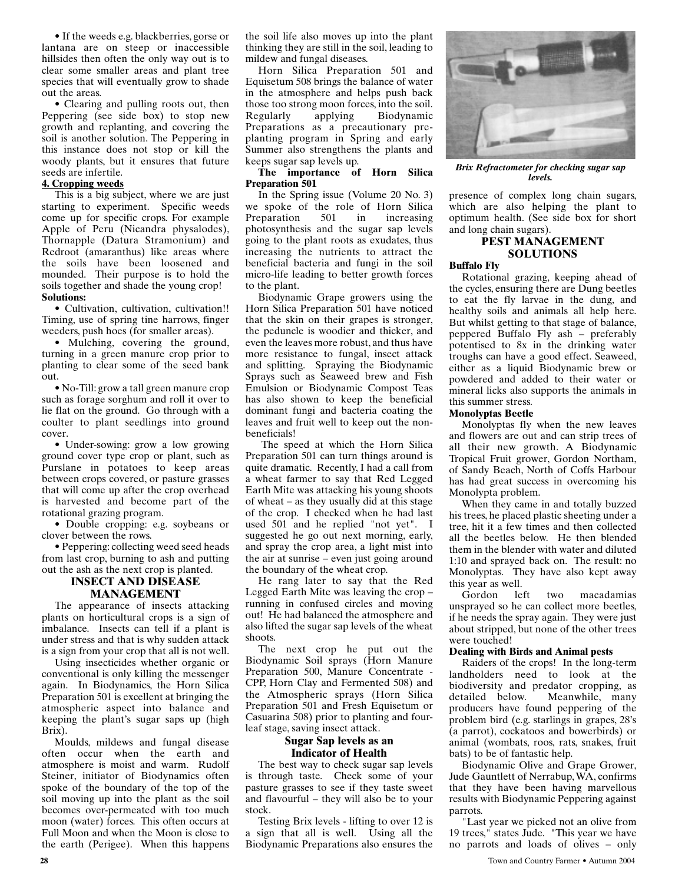• If the weeds e.g. blackberries, gorse or lantana are on steep or inaccessible hillsides then often the only way out is to clear some smaller areas and plant tree species that will eventually grow to shade out the areas.

• Clearing and pulling roots out, then Peppering (see side box) to stop new growth and replanting, and covering the soil is another solution. The Peppering in this instance does not stop or kill the woody plants, but it ensures that future seeds are infertile.

### **4. Cropping weeds**

This is a big subject, where we are just starting to experiment. Specific weeds come up for specific crops. For example Apple of Peru (Nicandra physalodes), Thornapple (Datura Stramonium) and Redroot (amaranthus) like areas where the soils have been loosened and mounded. Their purpose is to hold the soils together and shade the young crop! **Solutions:**

• Cultivation, cultivation, cultivation!! Timing, use of spring tine harrows, finger weeders, push hoes (for smaller areas).

• Mulching, covering the ground, turning in a green manure crop prior to planting to clear some of the seed bank out.

• No-Till: grow a tall green manure crop such as forage sorghum and roll it over to lie flat on the ground. Go through with a coulter to plant seedlings into ground cover.

• Under-sowing: grow a low growing ground cover type crop or plant, such as Purslane in potatoes to keep areas between crops covered, or pasture grasses that will come up after the crop overhead is harvested and become part of the rotational grazing program.

• Double cropping: e.g. soybeans or clover between the rows.

• Peppering: collecting weed seed heads from last crop, burning to ash and putting out the ash as the next crop is planted.

# **INSECT AND DISEASE MANAGEMENT**

The appearance of insects attacking plants on horticultural crops is a sign of imbalance. Insects can tell if a plant is under stress and that is why sudden attack is a sign from your crop that all is not well.

Using insecticides whether organic or conventional is only killing the messenger again. In Biodynamics, the Horn Silica Preparation 501 is excellent at bringing the atmospheric aspect into balance and keeping the plant's sugar saps up (high Brix).

Moulds, mildews and fungal disease often occur when the earth and atmosphere is moist and warm. Rudolf Steiner, initiator of Biodynamics often spoke of the boundary of the top of the soil moving up into the plant as the soil becomes over-permeated with too much moon (water) forces. This often occurs at Full Moon and when the Moon is close to the earth (Perigee). When this happens the soil life also moves up into the plant thinking they are still in the soil, leading to mildew and fungal diseases.

Horn Silica Preparation 501 and Equisetum 508 brings the balance of water in the atmosphere and helps push back those too strong moon forces, into the soil. Regularly applying Biodynamic Preparations as a precautionary preplanting program in Spring and early Summer also strengthens the plants and keeps sugar sap levels up.

### **The importance of Horn Silica Preparation 501**

In the Spring issue (Volume 20 No. 3) we spoke of the role of Horn Silica Preparation 501 in increasing photosynthesis and the sugar sap levels going to the plant roots as exudates, thus increasing the nutrients to attract the beneficial bacteria and fungi in the soil micro-life leading to better growth forces to the plant.

Biodynamic Grape growers using the Horn Silica Preparation 501 have noticed that the skin on their grapes is stronger, the peduncle is woodier and thicker, and even the leaves more robust, and thus have more resistance to fungal, insect attack and splitting. Spraying the Biodynamic Sprays such as Seaweed brew and Fish Emulsion or Biodynamic Compost Teas has also shown to keep the beneficial dominant fungi and bacteria coating the leaves and fruit well to keep out the nonbeneficials!

The speed at which the Horn Silica Preparation 501 can turn things around is quite dramatic. Recently, I had a call from a wheat farmer to say that Red Legged Earth Mite was attacking his young shoots of wheat – as they usually did at this stage of the crop. I checked when he had last used 501 and he replied "not yet". I suggested he go out next morning, early, and spray the crop area, a light mist into the air at sunrise – even just going around the boundary of the wheat crop.

He rang later to say that the Red Legged Earth Mite was leaving the crop – running in confused circles and moving out! He had balanced the atmosphere and also lifted the sugar sap levels of the wheat shoots.

The next crop he put out the Biodynamic Soil sprays (Horn Manure Preparation 500, Manure Concentrate - CPP, Horn Clay and Fermented 508) and the Atmospheric sprays (Horn Silica Preparation 501 and Fresh Equisetum or Casuarina 508) prior to planting and fourleaf stage, saving insect attack.

### **Sugar Sap levels as an Indicator of Health**

The best way to check sugar sap levels is through taste. Check some of your pasture grasses to see if they taste sweet and flavourful – they will also be to your stock.

Testing Brix levels - lifting to over 12 is a sign that all is well. Using all the Biodynamic Preparations also ensures the



*Brix Refractometer for checking sugar sap levels.*

presence of complex long chain sugars, which are also helping the plant to optimum health. (See side box for short and long chain sugars).

# **PEST MANAGEMENT SOLUTIONS**

### **Buffalo Fly**

Rotational grazing, keeping ahead of the cycles, ensuring there are Dung beetles to eat the fly larvae in the dung, and healthy soils and animals all help here. But whilst getting to that stage of balance, peppered Buffalo Fly ash – preferably potentised to 8x in the drinking water troughs can have a good effect. Seaweed, either as a liquid Biodynamic brew or powdered and added to their water or mineral licks also supports the animals in this summer stress.

### **Monolyptas Beetle**

Monolyptas fly when the new leaves and flowers are out and can strip trees of all their new growth. A Biodynamic Tropical Fruit grower, Gordon Northam, of Sandy Beach, North of Coffs Harbour has had great success in overcoming his Monolypta problem.

When they came in and totally buzzed his trees, he placed plastic sheeting under a tree, hit it a few times and then collected all the beetles below. He then blended them in the blender with water and diluted 1:10 and sprayed back on. The result: no Monolyptas. They have also kept away this year as well.

Gordon left two macadamias unsprayed so he can collect more beetles, if he needs the spray again. They were just about stripped, but none of the other trees were touched!

# **Dealing with Birds and Animal pests**

Raiders of the crops! In the long-term landholders need to look at the biodiversity and predator cropping, as detailed below. Meanwhile, many producers have found peppering of the problem bird (e.g. starlings in grapes, 28's (a parrot), cockatoos and bowerbirds) or animal (wombats, roos, rats, snakes, fruit bats) to be of fantastic help.

Biodynamic Olive and Grape Grower, Jude Gauntlett of Nerrabup, WA, confirms that they have been having marvellous results with Biodynamic Peppering against parrots.

"Last year we picked not an olive from 19 trees," states Jude. "This year we have no parrots and loads of olives – only